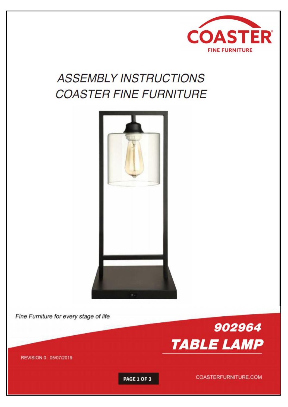

# **ASSEMBLY INSTRUCTIONS COASTER FINE FURNITURE**



Fine Furniture for every stage of life



REVISION 0 : 05/07/2019

**PAGE 1 OF 3** 

COASTERFURNITURE.COM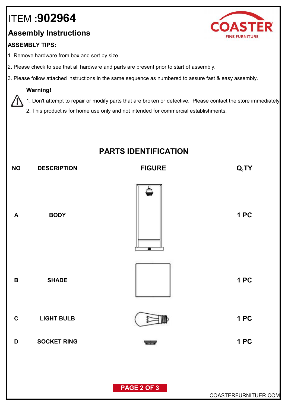# ITEM **:902964**

### **Assembly Instructions**

### **ASSEMBLY TIPS:**

- 1. Remove hardware from box and sort by size.
- 2. Please check to see that all hardware and parts are present prior to start of assembly.
- 3. Please follow attached instructions in the same sequence as numbered to assure fast & easy assembly.

#### **Warning!**

1. Don't attempt to repair or modify parts that are broken or defective. Please contact the store immediately.

2. This product is for home use only and not intended for commercial establishments.

### **PARTS IDENTIFICATION**



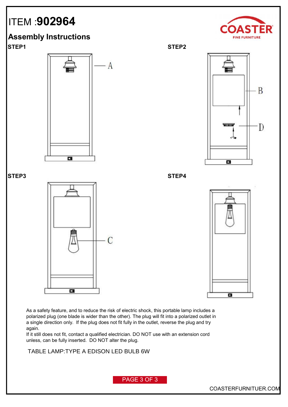## ITEM :**902964**















As a safety feature, and to reduce the risk of electric shock, this portable lamp includes a polarized plug (one blade is wider than the other). The plug will fit into a polarized outlet in a single direction only. If the plug does not fit fully in the outlet, reverse the plug and try again.

If it still does not fit, contact a qualified electrician. DO NOT use with an extension cord unless, can be fully inserted. DO NOT alter the plug.

**FLOOR LAMP:TYPE A LED BULB 9W** TABLE LAMP:TYPE A EDISON LED BULB 6W

PAGE 3 OF 3

COASTERFURNITUER.COM